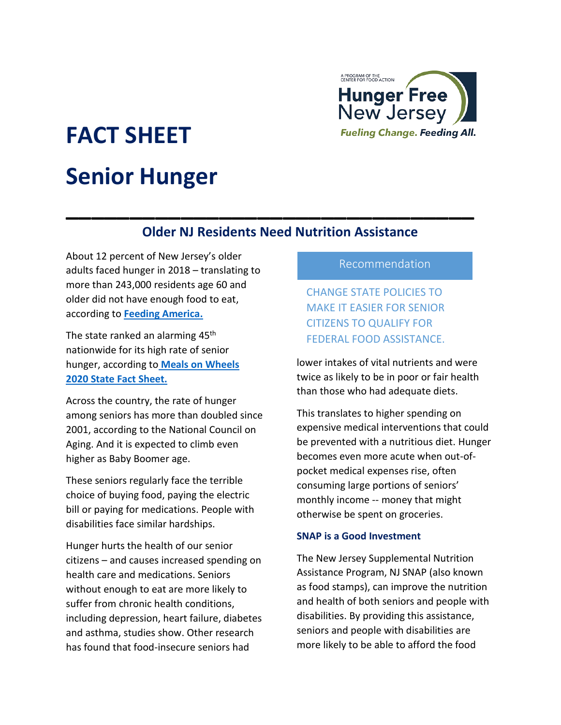

# **FACT SHEET Senior Hunger**

# **Older NJ Residents Need Nutrition Assistance**

**\_\_\_\_\_\_\_\_\_\_\_\_\_\_\_\_\_\_\_\_\_\_\_\_\_\_\_\_\_\_\_\_**

About 12 percent of New Jersey's older adults faced hunger in 2018 – translating to more than 243,000 residents age 60 and older did not have enough food to eat, according to **[Feeding America.](https://www.feedingamerica.org/research/senior-hunger-research/senior)**

The state ranked an alarming 45<sup>th</sup> nationwide for its high rate of senior hunger, according to **[Meals on Wheels](https://www.mealsonwheelsamerica.org/docs/default-source/fact-sheets/2020/2020-state/new-jersey-2020.pdf?sfvrsn=60a9b53b_2)  2020 [State Fact Sheet.](https://www.mealsonwheelsamerica.org/docs/default-source/fact-sheets/2020/2020-state/new-jersey-2020.pdf?sfvrsn=60a9b53b_2)**

Across the country, the rate of hunger among seniors has more than doubled since 2001, according to the National Council on Aging. And it is expected to climb even higher as Baby Boomer age.

These seniors regularly face the terrible choice of buying food, paying the electric bill or paying for medications. People with disabilities face similar hardships.

Hunger hurts the health of our senior citizens – and causes increased spending on health care and medications. Seniors without enough to eat are more likely to suffer from chronic health conditions, including depression, heart failure, diabetes and asthma, studies show. Other research has found that food-insecure seniors had

## Recommendation

CHANGE STATE POLICIES TO MAKE IT EASIER FOR SENIOR CITIZENS TO QUALIFY FOR FEDERAL FOOD ASSISTANCE.

lower intakes of vital nutrients and were twice as likely to be in poor or fair health than those who had adequate diets.

This translates to higher spending on expensive medical interventions that could be prevented with a nutritious diet. Hunger becomes even more acute when out-ofpocket medical expenses rise, often consuming large portions of seniors' monthly income -- money that might otherwise be spent on groceries.

#### **SNAP is a Good Investment**

The New Jersey Supplemental Nutrition Assistance Program, NJ SNAP (also known as food stamps), can improve the nutrition and health of both seniors and people with disabilities. By providing this assistance, seniors and people with disabilities are more likely to be able to afford the food